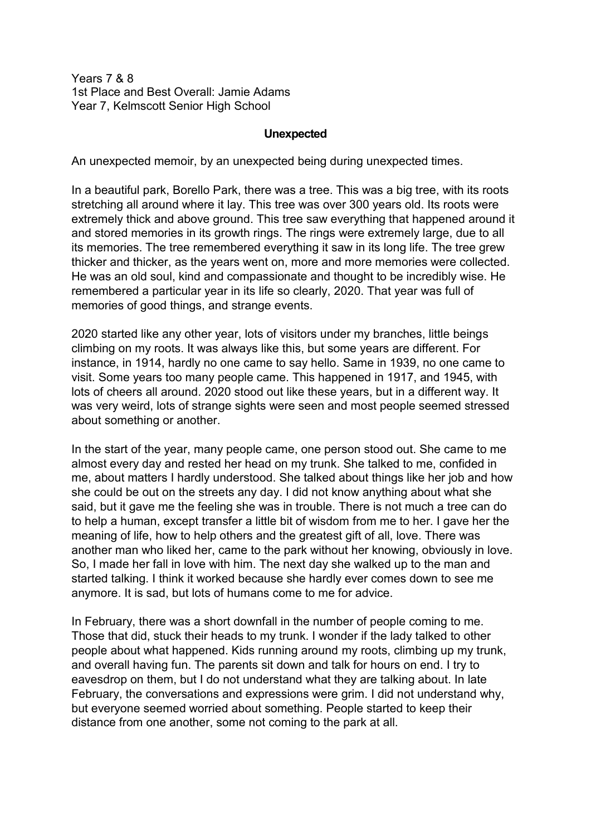Years 7 & 8 1st Place and Best Overall: Jamie Adams Year 7, Kelmscott Senior High School

## **Unexpected**

An unexpected memoir, by an unexpected being during unexpected times.

In a beautiful park, Borello Park, there was a tree. This was a big tree, with its roots stretching all around where it lay. This tree was over 300 years old. Its roots were extremely thick and above ground. This tree saw everything that happened around it and stored memories in its growth rings. The rings were extremely large, due to all its memories. The tree remembered everything it saw in its long life. The tree grew thicker and thicker, as the years went on, more and more memories were collected. He was an old soul, kind and compassionate and thought to be incredibly wise. He remembered a particular year in its life so clearly, 2020. That year was full of memories of good things, and strange events.

2020 started like any other year, lots of visitors under my branches, little beings climbing on my roots. It was always like this, but some years are different. For instance, in 1914, hardly no one came to say hello. Same in 1939, no one came to visit. Some years too many people came. This happened in 1917, and 1945, with lots of cheers all around. 2020 stood out like these years, but in a different way. It was very weird, lots of strange sights were seen and most people seemed stressed about something or another.

In the start of the year, many people came, one person stood out. She came to me almost every day and rested her head on my trunk. She talked to me, confided in me, about matters I hardly understood. She talked about things like her job and how she could be out on the streets any day. I did not know anything about what she said, but it gave me the feeling she was in trouble. There is not much a tree can do to help a human, except transfer a little bit of wisdom from me to her. I gave her the meaning of life, how to help others and the greatest gift of all, love. There was another man who liked her, came to the park without her knowing, obviously in love. So, I made her fall in love with him. The next day she walked up to the man and started talking. I think it worked because she hardly ever comes down to see me anymore. It is sad, but lots of humans come to me for advice.

In February, there was a short downfall in the number of people coming to me. Those that did, stuck their heads to my trunk. I wonder if the lady talked to other people about what happened. Kids running around my roots, climbing up my trunk, and overall having fun. The parents sit down and talk for hours on end. I try to eavesdrop on them, but I do not understand what they are talking about. In late February, the conversations and expressions were grim. I did not understand why, but everyone seemed worried about something. People started to keep their distance from one another, some not coming to the park at all.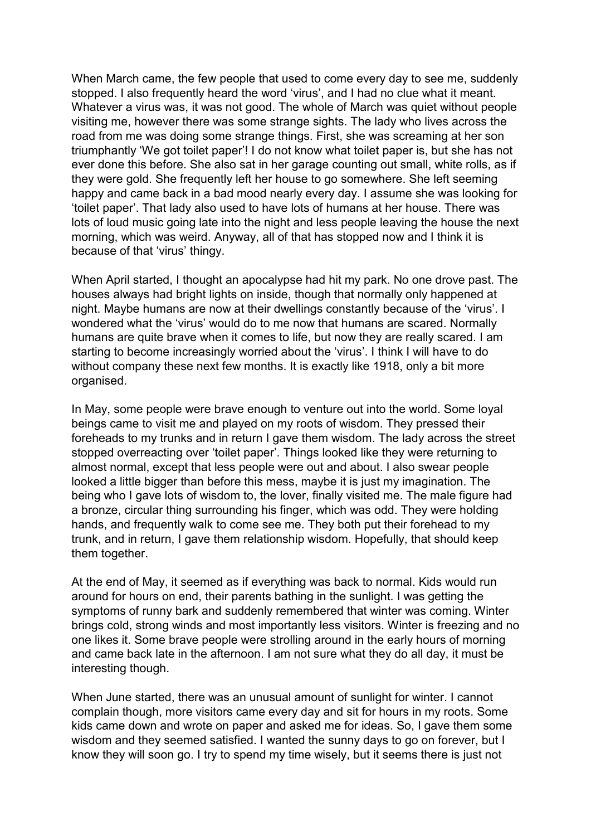When March came, the few people that used to come every day to see me, suddenly stopped. I also frequently heard the word 'virus', and I had no clue what it meant. Whatever a virus was, it was not good. The whole of March was quiet without people visiting me, however there was some strange sights. The lady who lives across the road from me was doing some strange things. First, she was screaming at her son triumphantly 'We got toilet paper'! I do not know what toilet paper is, but she has not ever done this before. She also sat in her garage counting out small, white rolls, as if they were gold. She frequently left her house to go somewhere. She left seeming happy and came back in a bad mood nearly every day. I assume she was looking for 'toilet paper'. That lady also used to have lots of humans at her house. There was lots of loud music going late into the night and less people leaving the house the next morning, which was weird. Anyway, all of that has stopped now and I think it is because of that 'virus' thingy.

When April started, I thought an apocalypse had hit my park. No one drove past. The houses always had bright lights on inside, though that normally only happened at night. Maybe humans are now at their dwellings constantly because of the 'virus'. I wondered what the 'virus' would do to me now that humans are scared. Normally humans are quite brave when it comes to life, but now they are really scared. I am starting to become increasingly worried about the 'virus'. I think I will have to do without company these next few months. It is exactly like 1918, only a bit more organised.

In May, some people were brave enough to venture out into the world. Some loyal beings came to visit me and played on my roots of wisdom. They pressed their foreheads to my trunks and in return I gave them wisdom. The lady across the street stopped overreacting over 'toilet paper'. Things looked like they were returning to almost normal, except that less people were out and about. I also swear people looked a little bigger than before this mess, maybe it is just my imagination. The being who I gave lots of wisdom to, the lover, finally visited me. The male figure had a bronze, circular thing surrounding his finger, which was odd. They were holding hands, and frequently walk to come see me. They both put their forehead to my trunk, and in return, I gave them relationship wisdom. Hopefully, that should keep them together.

At the end of May, it seemed as if everything was back to normal. Kids would run around for hours on end, their parents bathing in the sunlight. I was getting the symptoms of runny bark and suddenly remembered that winter was coming. Winter brings cold, strong winds and most importantly less visitors. Winter is freezing and no one likes it. Some brave people were strolling around in the early hours of morning and came back late in the afternoon. I am not sure what they do all day, it must be interesting though.

When June started, there was an unusual amount of sunlight for winter. I cannot complain though, more visitors came every day and sit for hours in my roots. Some kids came down and wrote on paper and asked me for ideas. So, I gave them some wisdom and they seemed satisfied. I wanted the sunny days to go on forever, but I know they will soon go. I try to spend my time wisely, but it seems there is just not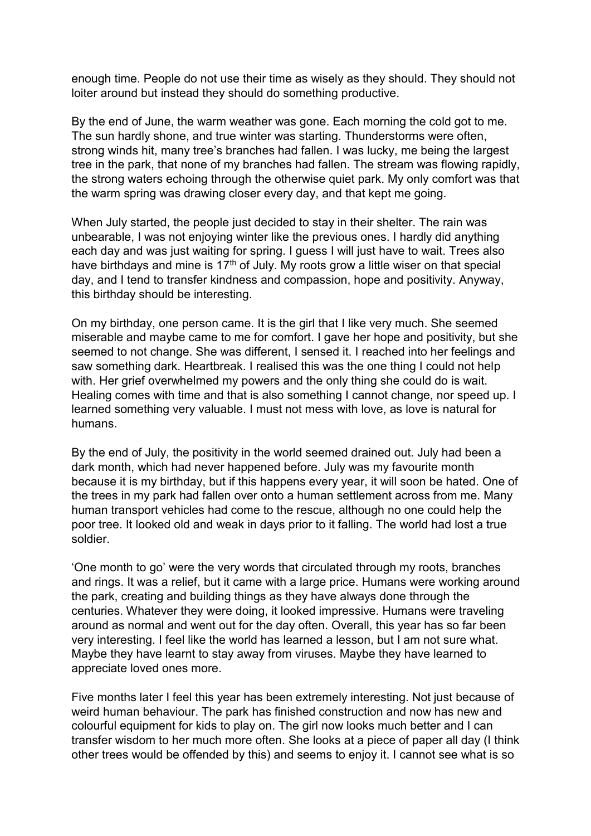enough time. People do not use their time as wisely as they should. They should not loiter around but instead they should do something productive.

By the end of June, the warm weather was gone. Each morning the cold got to me. The sun hardly shone, and true winter was starting. Thunderstorms were often, strong winds hit, many tree's branches had fallen. I was lucky, me being the largest tree in the park, that none of my branches had fallen. The stream was flowing rapidly, the strong waters echoing through the otherwise quiet park. My only comfort was that the warm spring was drawing closer every day, and that kept me going.

When July started, the people just decided to stay in their shelter. The rain was unbearable, I was not enjoying winter like the previous ones. I hardly did anything each day and was just waiting for spring. I guess I will just have to wait. Trees also have birthdays and mine is  $17<sup>th</sup>$  of July. My roots grow a little wiser on that special day, and I tend to transfer kindness and compassion, hope and positivity. Anyway, this birthday should be interesting.

On my birthday, one person came. It is the girl that I like very much. She seemed miserable and maybe came to me for comfort. I gave her hope and positivity, but she seemed to not change. She was different, I sensed it. I reached into her feelings and saw something dark. Heartbreak. I realised this was the one thing I could not help with. Her grief overwhelmed my powers and the only thing she could do is wait. Healing comes with time and that is also something I cannot change, nor speed up. I learned something very valuable. I must not mess with love, as love is natural for humans.

By the end of July, the positivity in the world seemed drained out. July had been a dark month, which had never happened before. July was my favourite month because it is my birthday, but if this happens every year, it will soon be hated. One of the trees in my park had fallen over onto a human settlement across from me. Many human transport vehicles had come to the rescue, although no one could help the poor tree. It looked old and weak in days prior to it falling. The world had lost a true soldier.

'One month to go' were the very words that circulated through my roots, branches and rings. It was a relief, but it came with a large price. Humans were working around the park, creating and building things as they have always done through the centuries. Whatever they were doing, it looked impressive. Humans were traveling around as normal and went out for the day often. Overall, this year has so far been very interesting. I feel like the world has learned a lesson, but I am not sure what. Maybe they have learnt to stay away from viruses. Maybe they have learned to appreciate loved ones more.

Five months later I feel this year has been extremely interesting. Not just because of weird human behaviour. The park has finished construction and now has new and colourful equipment for kids to play on. The girl now looks much better and I can transfer wisdom to her much more often. She looks at a piece of paper all day (I think other trees would be offended by this) and seems to enjoy it. I cannot see what is so